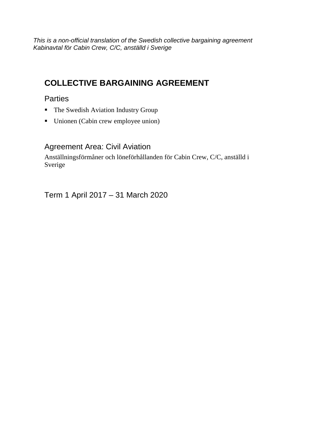*This is a non-official translation of the Swedish collective bargaining agreement Kabinavtal för Cabin Crew, C/C, anställd i Sverige*

# **COLLECTIVE BARGAINING AGREEMENT**

### **Parties**

- The Swedish Aviation Industry Group
- Unionen (Cabin crew employee union)

## Agreement Area: Civil Aviation

Anställningsförmåner och löneförhållanden för Cabin Crew, C/C, anställd i Sverige

Term 1 April 2017 – 31 March 2020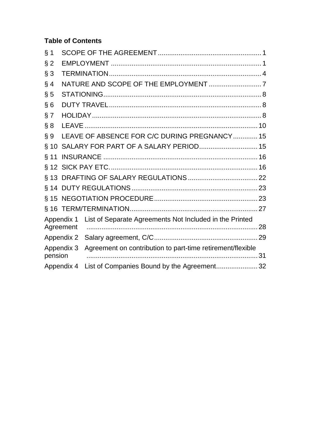### **Table of Contents**

| $§$ 1   |                         |                                                            |  |
|---------|-------------------------|------------------------------------------------------------|--|
| $§$ 2   |                         |                                                            |  |
| $§$ 3   |                         |                                                            |  |
| § 4     |                         |                                                            |  |
| $\S$ 5  |                         |                                                            |  |
| §6      |                         |                                                            |  |
| § 7     |                         |                                                            |  |
| § 8     |                         |                                                            |  |
| § 9     |                         | LEAVE OF ABSENCE FOR C/C DURING PREGNANCY 15               |  |
| $§$ 10  |                         | SALARY FOR PART OF A SALARY PERIOD 15                      |  |
| $§$ 11  |                         |                                                            |  |
|         |                         |                                                            |  |
|         |                         |                                                            |  |
|         |                         |                                                            |  |
|         |                         |                                                            |  |
|         |                         |                                                            |  |
|         | Appendix 1<br>Agreement | List of Separate Agreements Not Included in the Printed    |  |
|         | Appendix 2              |                                                            |  |
| pension | Appendix 3              | Agreement on contribution to part-time retirement/flexible |  |
|         | Appendix 4              |                                                            |  |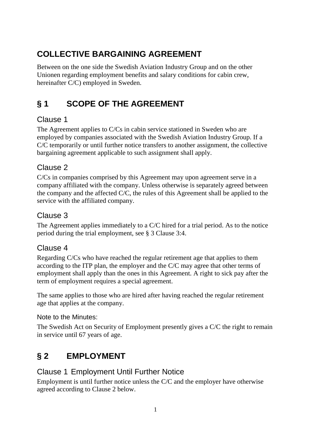# **COLLECTIVE BARGAINING AGREEMENT**

Between on the one side the Swedish Aviation Industry Group and on the other Unionen regarding employment benefits and salary conditions for cabin crew, hereinafter C/C) employed in Sweden.

# <span id="page-2-0"></span>**§ 1 SCOPE OF THE AGREEMENT**

# Clause 1

The Agreement applies to C/Cs in cabin service stationed in Sweden who are employed by companies associated with the Swedish Aviation Industry Group. If a C/C temporarily or until further notice transfers to another assignment, the collective bargaining agreement applicable to such assignment shall apply.

# Clause 2

C/Cs in companies comprised by this Agreement may upon agreement serve in a company affiliated with the company. Unless otherwise is separately agreed between the company and the affected C/C, the rules of this Agreement shall be applied to the service with the affiliated company.

# Clause 3

The Agreement applies immediately to a C/C hired for a trial period. As to the notice period during the trial employment, see § 3 Clause 3:4.

## Clause 4

Regarding C/Cs who have reached the regular retirement age that applies to them according to the ITP plan, the employer and the C/C may agree that other terms of employment shall apply than the ones in this Agreement. A right to sick pay after the term of employment requires a special agreement.

The same applies to those who are hired after having reached the regular retirement age that applies at the company.

### Note to the Minutes:

The Swedish Act on Security of Employment presently gives a C/C the right to remain in service until 67 years of age.

# <span id="page-2-1"></span>**§ 2 EMPLOYMENT**

# Clause 1 Employment Until Further Notice

Employment is until further notice unless the C/C and the employer have otherwise agreed according to Clause 2 below.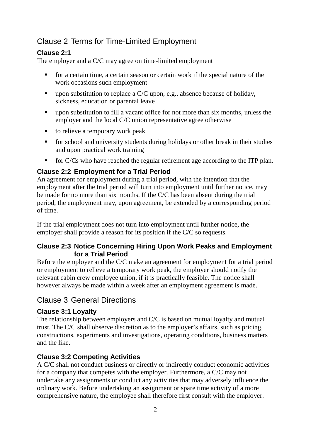# Clause 2 Terms for Time-Limited Employment

#### **Clause 2:1**

The employer and a C/C may agree on time-limited employment

- for a certain time, a certain season or certain work if the special nature of the work occasions such employment
- upon substitution to replace a  $C/C$  upon, e.g., absence because of holiday, sickness, education or parental leave
- upon substitution to fill a vacant office for not more than six months, unless the employer and the local C/C union representative agree otherwise
- to relieve a temporary work peak
- for school and university students during holidays or other break in their studies and upon practical work training
- $\blacksquare$  for C/Cs who have reached the regular retirement age according to the ITP plan.

#### **Clause 2:2 Employment for a Trial Period**

An agreement for employment during a trial period, with the intention that the employment after the trial period will turn into employment until further notice, may be made for no more than six months. If the C/C has been absent during the trial period, the employment may, upon agreement, be extended by a corresponding period of time.

If the trial employment does not turn into employment until further notice, the employer shall provide a reason for its position if the C/C so requests.

#### **Clause 2:3 Notice Concerning Hiring Upon Work Peaks and Employment for a Trial Period**

Before the employer and the C/C make an agreement for employment for a trial period or employment to relieve a temporary work peak, the employer should notify the relevant cabin crew employee union, if it is practically feasible. The notice shall however always be made within a week after an employment agreement is made.

### Clause 3 General Directions

#### **Clause 3:1 Loyalty**

The relationship between employers and C/C is based on mutual loyalty and mutual trust. The C/C shall observe discretion as to the employer's affairs, such as pricing, constructions, experiments and investigations, operating conditions, business matters and the like.

#### **Clause 3:2 Competing Activities**

A C/C shall not conduct business or directly or indirectly conduct economic activities for a company that competes with the employer. Furthermore, a C/C may not undertake any assignments or conduct any activities that may adversely influence the ordinary work. Before undertaking an assignment or spare time activity of a more comprehensive nature, the employee shall therefore first consult with the employer.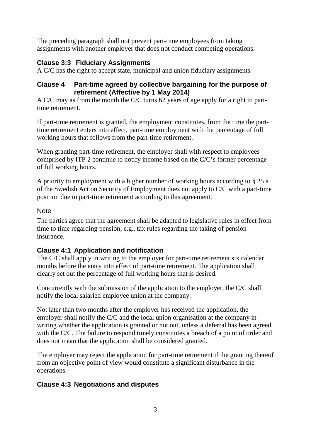The preceding paragraph shall not prevent part-time employees from taking assignments with another employer that does not conduct competing operations.

#### **Clause 3:3 Fiduciary Assignments**

A C/C has the right to accept state, municipal and union fiduciary assignments.

#### **Clause 4 Part-time agreed by collective bargaining for the purpose of retirement (Affective by 1 May 2014)**

A C/C may as from the month the C/C turns 62 years of age apply for a right to parttime retirement.

If part-time retirement is granted, the employment constitutes, from the time the parttime retirement enters into effect, part-time employment with the percentage of full working hours that follows from the part-time retirement.

When granting part-time retirement, the employer shall with respect to employees comprised by ITP 2 continue to notify income based on the C/C's former percentage of full working hours.

A priority to employment with a higher number of working hours according to § 25 a of the Swedish Act on Security of Employment does not apply to C/C with a part-time position due to part-time retirement according to this agreement.

#### **Note**

The parties agree that the agreement shall be adapted to legislative rules in effect from time to time regarding pension, e.g., tax rules regarding the taking of pension insurance.

### **Clause 4:1 Application and notification**

The C/C shall apply in writing to the employer for part-time retirement six calendar months before the entry into effect of part-time retirement. The application shall clearly set out the percentage of full working hours that is desired.

Concurrently with the submission of the application to the employer, the C/C shall notify the local salaried employee union at the company.

Not later than two months after the employer has received the application, the employer shall notify the C/C and the local union organisation at the company in writing whether the application is granted or not out, unless a deferral has been agreed with the C/C. The failure to respond timely constitutes a breach of a point of order and does not mean that the application shall be considered granted.

The employer may reject the application for part-time retirement if the granting thereof from an objective point of view would constitute a significant disturbance in the operations.

#### **Clause 4:3 Negotiations and disputes**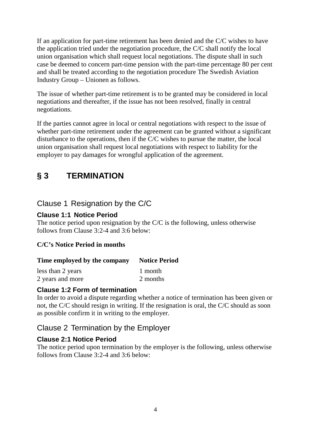If an application for part-time retirement has been denied and the C/C wishes to have the application tried under the negotiation procedure, the C/C shall notify the local union organisation which shall request local negotiations. The dispute shall in such case be deemed to concern part-time pension with the part-time percentage 80 per cent and shall be treated according to the negotiation procedure The Swedish Aviation Industry Group – Unionen as follows.

The issue of whether part-time retirement is to be granted may be considered in local negotiations and thereafter, if the issue has not been resolved, finally in central negotiations.

If the parties cannot agree in local or central negotiations with respect to the issue of whether part-time retirement under the agreement can be granted without a significant disturbance to the operations, then if the C/C wishes to pursue the matter, the local union organisation shall request local negotiations with respect to liability for the employer to pay damages for wrongful application of the agreement.

# <span id="page-5-0"></span>**§ 3 TERMINATION**

## Clause 1 Resignation by the C/C

#### **Clause 1:1 Notice Period**

The notice period upon resignation by the C/C is the following, unless otherwise follows from Clause 3:2-4 and 3:6 below:

#### **C/C's Notice Period in months**

#### **Time employed by the company Notice Period**

less than 2 years 1 month 2 years and more 2 months

#### **Clause 1:2 Form of termination**

In order to avoid a dispute regarding whether a notice of termination has been given or not, the C/C should resign in writing. If the resignation is oral, the C/C should as soon as possible confirm it in writing to the employer.

#### Clause 2 Termination by the Employer

#### **Clause 2:1 Notice Period**

The notice period upon termination by the employer is the following, unless otherwise follows from Clause 3:2-4 and 3:6 below: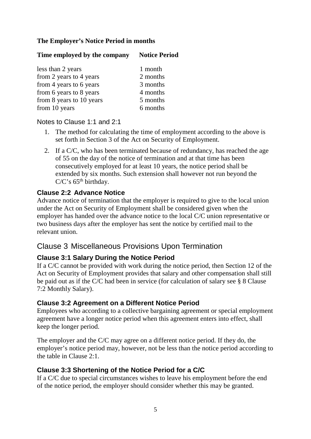#### **The Employer's Notice Period in months**

#### **Time employed by the company Notice Period**

| 1 month  |
|----------|
| 2 months |
| 3 months |
| 4 months |
| 5 months |
| 6 months |
|          |

#### Notes to Clause 1:1 and 2:1

- 1. The method for calculating the time of employment according to the above is set forth in Section 3 of the Act on Security of Employment.
- 2. If a C/C, who has been terminated because of redundancy, has reached the age of 55 on the day of the notice of termination and at that time has been consecutively employed for at least 10 years, the notice period shall be extended by six months. Such extension shall however not run beyond the  $C/C$ 's 65<sup>th</sup> birthday.

#### **Clause 2:2 Advance Notice**

Advance notice of termination that the employer is required to give to the local union under the Act on Security of Employment shall be considered given when the employer has handed over the advance notice to the local C/C union representative or two business days after the employer has sent the notice by certified mail to the relevant union.

### Clause 3 Miscellaneous Provisions Upon Termination

#### **Clause 3:1 Salary During the Notice Period**

If a C/C cannot be provided with work during the notice period, then Section 12 of the Act on Security of Employment provides that salary and other compensation shall still be paid out as if the C/C had been in service (for calculation of salary see § 8 Clause 7:2 Monthly Salary).

#### **Clause 3:2 Agreement on a Different Notice Period**

Employees who according to a collective bargaining agreement or special employment agreement have a longer notice period when this agreement enters into effect, shall keep the longer period.

The employer and the C/C may agree on a different notice period. If they do, the employer's notice period may, however, not be less than the notice period according to the table in Clause 2:1.

#### **Clause 3:3 Shortening of the Notice Period for a C/C**

If a C/C due to special circumstances wishes to leave his employment before the end of the notice period, the employer should consider whether this may be granted.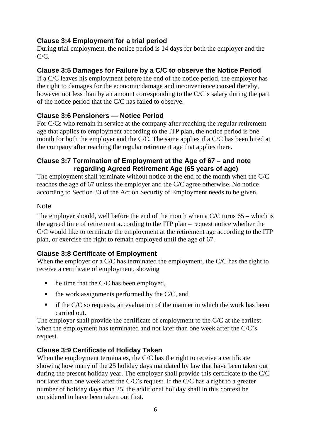#### **Clause 3:4 Employment for a trial period**

During trial employment, the notice period is 14 days for both the employer and the  $C/C$ .

#### **Clause 3:5 Damages for Failure by a C/C to observe the Notice Period**

If a C/C leaves his employment before the end of the notice period, the employer has the right to damages for the economic damage and inconvenience caused thereby, however not less than by an amount corresponding to the C/C's salary during the part of the notice period that the C/C has failed to observe.

#### **Clause 3:6 Pensioners — Notice Period**

For C/Cs who remain in service at the company after reaching the regular retirement age that applies to employment according to the ITP plan, the notice period is one month for both the employer and the C/C. The same applies if a C/C has been hired at the company after reaching the regular retirement age that applies there.

#### **Clause 3:7 Termination of Employment at the Age of 67 – and note regarding Agreed Retirement Age (65 years of age)**

The employment shall terminate without notice at the end of the month when the C/C reaches the age of 67 unless the employer and the C/C agree otherwise. No notice according to Section 33 of the Act on Security of Employment needs to be given.

#### Note

The employer should, well before the end of the month when a C/C turns 65 – which is the agreed time of retirement according to the ITP plan – request notice whether the C/C would like to terminate the employment at the retirement age according to the ITP plan, or exercise the right to remain employed until the age of 67.

#### **Clause 3:8 Certificate of Employment**

When the employer or a C/C has terminated the employment, the C/C has the right to receive a certificate of employment, showing

- $\blacksquare$  he time that the C/C has been employed,
- $\blacksquare$  the work assignments performed by the C/C, and
- $\blacksquare$  if the C/C so requests, an evaluation of the manner in which the work has been carried out.

The employer shall provide the certificate of employment to the C/C at the earliest when the employment has terminated and not later than one week after the C/C's request.

#### **Clause 3:9 Certificate of Holiday Taken**

When the employment terminates, the C/C has the right to receive a certificate showing how many of the 25 holiday days mandated by law that have been taken out during the present holiday year. The employer shall provide this certificate to the C/C not later than one week after the C/C's request. If the C/C has a right to a greater number of holiday days than 25, the additional holiday shall in this context be considered to have been taken out first.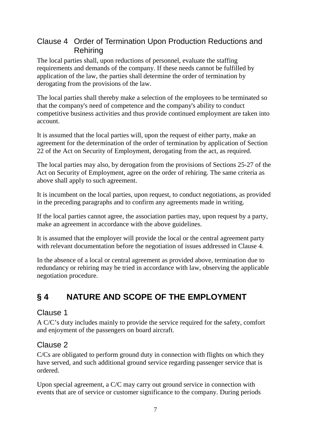## Clause 4 Order of Termination Upon Production Reductions and Rehiring

The local parties shall, upon reductions of personnel, evaluate the staffing requirements and demands of the company. If these needs cannot be fulfilled by application of the law, the parties shall determine the order of termination by derogating from the provisions of the law.

The local parties shall thereby make a selection of the employees to be terminated so that the company's need of competence and the company's ability to conduct competitive business activities and thus provide continued employment are taken into account.

It is assumed that the local parties will, upon the request of either party, make an agreement for the determination of the order of termination by application of Section 22 of the Act on Security of Employment, derogating from the act, as required.

The local parties may also, by derogation from the provisions of Sections 25-27 of the Act on Security of Employment, agree on the order of rehiring. The same criteria as above shall apply to such agreement.

It is incumbent on the local parties, upon request, to conduct negotiations, as provided in the preceding paragraphs and to confirm any agreements made in writing.

If the local parties cannot agree, the association parties may, upon request by a party, make an agreement in accordance with the above guidelines.

It is assumed that the employer will provide the local or the central agreement party with relevant documentation before the negotiation of issues addressed in Clause 4.

In the absence of a local or central agreement as provided above, termination due to redundancy or rehiring may be tried in accordance with law, observing the applicable negotiation procedure.

# <span id="page-8-0"></span>**§ 4 NATURE AND SCOPE OF THE EMPLOYMENT**

### Clause 1

A C/C's duty includes mainly to provide the service required for the safety, comfort and enjoyment of the passengers on board aircraft.

## Clause 2

C/Cs are obligated to perform ground duty in connection with flights on which they have served, and such additional ground service regarding passenger service that is ordered.

Upon special agreement, a C/C may carry out ground service in connection with events that are of service or customer significance to the company. During periods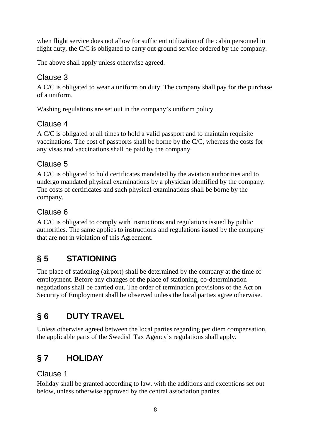when flight service does not allow for sufficient utilization of the cabin personnel in flight duty, the C/C is obligated to carry out ground service ordered by the company.

The above shall apply unless otherwise agreed.

## Clause 3

A C/C is obligated to wear a uniform on duty. The company shall pay for the purchase of a uniform.

Washing regulations are set out in the company's uniform policy.

## Clause 4

A C/C is obligated at all times to hold a valid passport and to maintain requisite vaccinations. The cost of passports shall be borne by the C/C, whereas the costs for any visas and vaccinations shall be paid by the company.

# Clause 5

A C/C is obligated to hold certificates mandated by the aviation authorities and to undergo mandated physical examinations by a physician identified by the company. The costs of certificates and such physical examinations shall be borne by the company.

## Clause 6

A C/C is obligated to comply with instructions and regulations issued by public authorities. The same applies to instructions and regulations issued by the company that are not in violation of this Agreement.

# <span id="page-9-0"></span>**§ 5 STATIONING**

The place of stationing (airport) shall be determined by the company at the time of employment. Before any changes of the place of stationing, co-determination negotiations shall be carried out. The order of termination provisions of the Act on Security of Employment shall be observed unless the local parties agree otherwise.

# <span id="page-9-1"></span>**§ 6 DUTY TRAVEL**

Unless otherwise agreed between the local parties regarding per diem compensation, the applicable parts of the Swedish Tax Agency's regulations shall apply.

# <span id="page-9-2"></span>**§ 7 HOLIDAY**

## Clause 1

Holiday shall be granted according to law, with the additions and exceptions set out below, unless otherwise approved by the central association parties.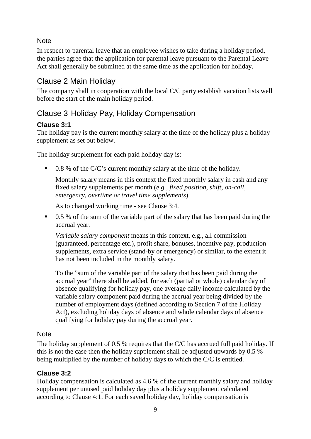#### **Note**

In respect to parental leave that an employee wishes to take during a holiday period, the parties agree that the application for parental leave pursuant to the Parental Leave Act shall generally be submitted at the same time as the application for holiday.

## Clause 2 Main Holiday

The company shall in cooperation with the local C/C party establish vacation lists well before the start of the main holiday period.

## Clause 3 Holiday Pay, Holiday Compensation

#### **Clause 3:1**

The holiday pay is the current monthly salary at the time of the holiday plus a holiday supplement as set out below.

The holiday supplement for each paid holiday day is:

 $\blacksquare$  0.8 % of the C/C's current monthly salary at the time of the holiday.

Monthly salary means in this context the fixed monthly salary in cash and any fixed salary supplements per month (*e.g., fixed position, shift, on-call, emergency, overtime or travel time supplements*).

As to changed working time - see Clause 3:4.

0.5 % of the sum of the variable part of the salary that has been paid during the accrual year.

*Variable salary component* means in this context, e.g., all commission (guaranteed, percentage etc.), profit share, bonuses, incentive pay, production supplements, extra service (stand-by or emergency) or similar, to the extent it has not been included in the monthly salary.

To the "sum of the variable part of the salary that has been paid during the accrual year" there shall be added, for each (partial or whole) calendar day of absence qualifying for holiday pay, one average daily income calculated by the variable salary component paid during the accrual year being divided by the number of employment days (defined according to Section 7 of the Holiday Act), excluding holiday days of absence and whole calendar days of absence qualifying for holiday pay during the accrual year.

#### **Note**

The holiday supplement of 0.5 % requires that the C/C has accrued full paid holiday. If this is not the case then the holiday supplement shall be adjusted upwards by 0.5 % being multiplied by the number of holiday days to which the C/C is entitled.

#### **Clause 3:2**

Holiday compensation is calculated as 4.6 % of the current monthly salary and holiday supplement per unused paid holiday day plus a holiday supplement calculated according to Clause 4:1. For each saved holiday day, holiday compensation is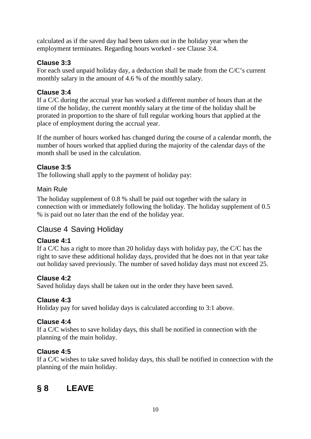calculated as if the saved day had been taken out in the holiday year when the employment terminates. Regarding hours worked - see Clause 3:4.

#### **Clause 3:3**

For each used unpaid holiday day, a deduction shall be made from the C/C's current monthly salary in the amount of 4.6 % of the monthly salary.

#### **Clause 3:4**

If a C/C during the accrual year has worked a different number of hours than at the time of the holiday, the current monthly salary at the time of the holiday shall be prorated in proportion to the share of full regular working hours that applied at the place of employment during the accrual year.

If the number of hours worked has changed during the course of a calendar month, the number of hours worked that applied during the majority of the calendar days of the month shall be used in the calculation.

#### **Clause 3:5**

The following shall apply to the payment of holiday pay:

#### Main Rule

The holiday supplement of 0.8 % shall be paid out together with the salary in connection with or immediately following the holiday. The holiday supplement of 0.5 % is paid out no later than the end of the holiday year.

## Clause 4 Saving Holiday

#### **Clause 4:1**

If a C/C has a right to more than 20 holiday days with holiday pay, the C/C has the right to save these additional holiday days, provided that he does not in that year take out holiday saved previously. The number of saved holiday days must not exceed 25.

#### **Clause 4:2**

Saved holiday days shall be taken out in the order they have been saved.

### **Clause 4:3**

Holiday pay for saved holiday days is calculated according to 3:1 above.

#### **Clause 4:4**

If a C/C wishes to save holiday days, this shall be notified in connection with the planning of the main holiday.

### **Clause 4:5**

If a C/C wishes to take saved holiday days, this shall be notified in connection with the planning of the main holiday.

# <span id="page-11-0"></span>**§ 8 LEAVE**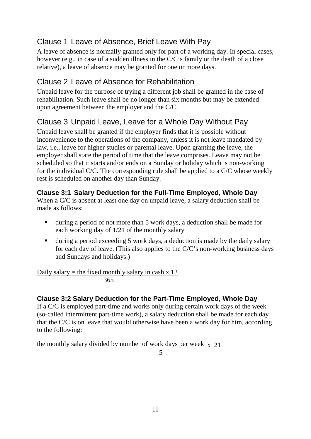# Clause 1 Leave of Absence, Brief Leave With Pay

A leave of absence is normally granted only for part of a working day. In special cases, however (e.g., in case of a sudden illness in the C/C's family or the death of a close relative), a leave of absence may be granted for one or more days.

## Clause 2 Leave of Absence for Rehabilitation

Unpaid leave for the purpose of trying a different job shall be granted in the case of rehabilitation. Such leave shall be no longer than six months but may be extended upon agreement between the employer and the C/C.

# Clause 3 Unpaid Leave, Leave for a Whole Day Without Pay

Unpaid leave shall be granted if the employer finds that it is possible without inconvenience to the operations of the company, unless it is not leave mandated by law, i.e., leave for higher studies or parental leave. Upon granting the leave, the employer shall state the period of time that the leave comprises. Leave may not be scheduled so that it starts and/or ends on a Sunday or holiday which is non-working for the individual C/C. The corresponding rule shall be applied to a C/C whose weekly rest is scheduled on another day than Sunday.

#### **Clause 3:1 Salary Deduction for the Full-Time Employed, Whole Day**

When a C/C is absent at least one day on unpaid leave, a salary deduction shall be made as follows:

- during a period of not more than 5 work days, a deduction shall be made for each working day of 1/21 of the monthly salary
- during a period exceeding 5 work days, a deduction is made by the daily salary for each day of leave. (This also applies to the C/C's non-working business days and Sundays and holidays.)

Daily salary = the fixed monthly salary in cash  $x$  12 365

#### **Clause 3:2 Salary Deduction for the Part-Time Employed, Whole Day**

If a C/C is employed part-time and works only during certain work days of the week (so-called intermittent part-time work), a salary deduction shall be made for each day that the C/C is on leave that would otherwise have been a work day for him, according to the following:

the monthly salary divided by number of work days per week  $\bar{x}$  21

5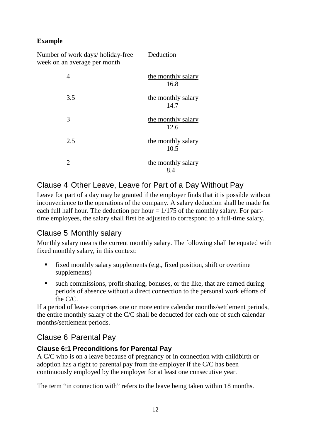#### **Example**

Number of work days/ holiday-free Deduction week on an average per month 4 the monthly salary 16.8 3.5 the monthly salary 14.7 3 the monthly salary 12.6 2.5 the monthly salary 10.5 2 the monthly salary 8.4

# Clause 4 Other Leave, Leave for Part of a Day Without Pay

Leave for part of a day may be granted if the employer finds that it is possible without inconvenience to the operations of the company. A salary deduction shall be made for each full half hour. The deduction per hour  $= 1/175$  of the monthly salary. For parttime employees, the salary shall first be adjusted to correspond to a full-time salary.

## Clause 5 Monthly salary

Monthly salary means the current monthly salary. The following shall be equated with fixed monthly salary, in this context:

- $\blacksquare$  fixed monthly salary supplements (e.g., fixed position, shift or overtime supplements)
- such commissions, profit sharing, bonuses, or the like, that are earned during periods of absence without a direct connection to the personal work efforts of the C/C.

If a period of leave comprises one or more entire calendar months/settlement periods, the entire monthly salary of the C/C shall be deducted for each one of such calendar months/settlement periods.

## Clause 6 Parental Pay

### **Clause 6:1 Preconditions for Parental Pay**

A C/C who is on a leave because of pregnancy or in connection with childbirth or adoption has a right to parental pay from the employer if the C/C has been continuously employed by the employer for at least one consecutive year.

The term "in connection with" refers to the leave being taken within 18 months.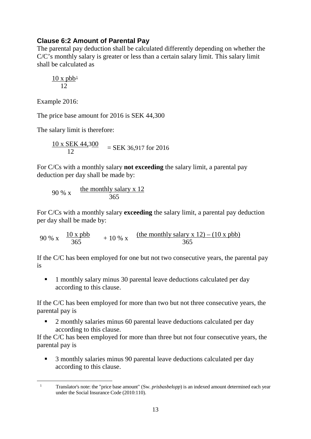#### **Clause 6:2 Amount of Parental Pay**

The parental pay deduction shall be calculated differently depending on whether the C/C's monthly salary is greater or less than a certain salary limit. This salary limit shall be calculated as

$$
\frac{10 \text{ x } \text{pbb}^1}{12}
$$

Example 2016:

The price base amount for 2016 is SEK 44,300

The salary limit is therefore:

 $\frac{10 \times \text{SEK } 44,300}{12}$  = SEK 36,917 for 2016

For C/Cs with a monthly salary **not exceeding** the salary limit, a parental pay deduction per day shall be made by:

90 % x 
$$
\frac{\text{the monthly salary x } 12}{365}
$$

For C/Cs with a monthly salary **exceeding** the salary limit, a parental pay deduction per day shall be made by:

90 % x  $\frac{10 \times \text{pbb}}{365}$  + 10 % x  $\frac{\text{(the monthly salary x 12)} - (10 \times \text{pbb})}{365}$ 

If the C/C has been employed for one but not two consecutive years, the parental pay is

<sup>1</sup> 1 monthly salary minus 30 parental leave deductions calculated per day according to this clause.

If the C/C has been employed for more than two but not three consecutive years, the parental pay is

<sup>2</sup> 2 monthly salaries minus 60 parental leave deductions calculated per day according to this clause.

If the C/C has been employed for more than three but not four consecutive years, the parental pay is

 3 monthly salaries minus 90 parental leave deductions calculated per day according to this clause.

<span id="page-14-0"></span> <sup>1</sup> Translator's note: the "price base amount" (Sw. *prisbasbelopp*) is an indexed amount determined each year under the Social Insurance Code (2010:110).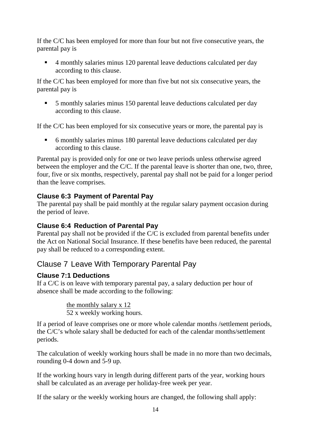If the C/C has been employed for more than four but not five consecutive years, the parental pay is

■ 4 monthly salaries minus 120 parental leave deductions calculated per day according to this clause.

If the C/C has been employed for more than five but not six consecutive years, the parental pay is

 5 monthly salaries minus 150 parental leave deductions calculated per day according to this clause.

If the C/C has been employed for six consecutive years or more, the parental pay is

 6 monthly salaries minus 180 parental leave deductions calculated per day according to this clause.

Parental pay is provided only for one or two leave periods unless otherwise agreed between the employer and the C/C. If the parental leave is shorter than one, two, three, four, five or six months, respectively, parental pay shall not be paid for a longer period than the leave comprises.

#### **Clause 6:3 Payment of Parental Pay**

The parental pay shall be paid monthly at the regular salary payment occasion during the period of leave.

#### **Clause 6:4 Reduction of Parental Pay**

Parental pay shall not be provided if the C/C is excluded from parental benefits under the Act on National Social Insurance. If these benefits have been reduced, the parental pay shall be reduced to a corresponding extent.

### Clause 7 Leave With Temporary Parental Pay

#### **Clause 7:1 Deductions**

If a C/C is on leave with temporary parental pay, a salary deduction per hour of absence shall be made according to the following:

> the monthly salary x 12 52 x weekly working hours.

If a period of leave comprises one or more whole calendar months /settlement periods, the C/C's whole salary shall be deducted for each of the calendar months/settlement periods.

The calculation of weekly working hours shall be made in no more than two decimals, rounding 0-4 down and 5-9 up.

If the working hours vary in length during different parts of the year, working hours shall be calculated as an average per holiday-free week per year.

If the salary or the weekly working hours are changed, the following shall apply: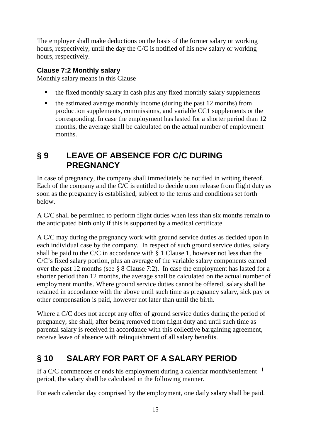The employer shall make deductions on the basis of the former salary or working hours, respectively, until the day the C/C is notified of his new salary or working hours, respectively.

#### **Clause 7:2 Monthly salary**

Monthly salary means in this Clause

- the fixed monthly salary in cash plus any fixed monthly salary supplements
- $\blacksquare$  the estimated average monthly income (during the past 12 months) from production supplements, commissions, and variable CC1 supplements or the corresponding. In case the employment has lasted for a shorter period than 12 months, the average shall be calculated on the actual number of employment months.

# <span id="page-16-0"></span>**§ 9 LEAVE OF ABSENCE FOR C/C DURING PREGNANCY**

In case of pregnancy, the company shall immediately be notified in writing thereof. Each of the company and the C/C is entitled to decide upon release from flight duty as soon as the pregnancy is established, subject to the terms and conditions set forth below.

A C/C shall be permitted to perform flight duties when less than six months remain to the anticipated birth only if this is supported by a medical certificate.

A C/C may during the pregnancy work with ground service duties as decided upon in each individual case by the company. In respect of such ground service duties, salary shall be paid to the C/C in accordance with § 1 Clause 1, however not less than the C/C's fixed salary portion, plus an average of the variable salary components earned over the past 12 months (see § 8 Clause 7:2). In case the employment has lasted for a shorter period than 12 months, the average shall be calculated on the actual number of employment months. Where ground service duties cannot be offered, salary shall be retained in accordance with the above until such time as pregnancy salary, sick pay or other compensation is paid, however not later than until the birth.

Where a C/C does not accept any offer of ground service duties during the period of pregnancy, she shall, after being removed from flight duty and until such time as parental salary is received in accordance with this collective bargaining agreement, receive leave of absence with relinquishment of all salary benefits.

# <span id="page-16-1"></span>**§ 10 SALARY FOR PART OF A SALARY PERIOD**

If a C/C commences or ends his employment during a calendar month/settlement <sup>1</sup> period, the salary shall be calculated in the following manner.

For each calendar day comprised by the employment, one daily salary shall be paid.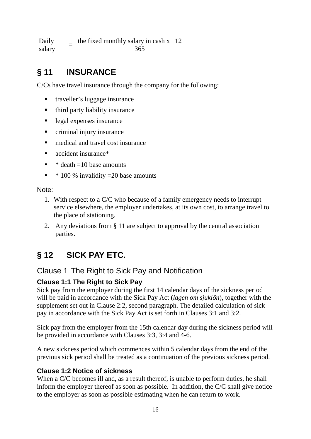Daily Daily  $=$  the fixed monthly salary in cash x 12<br>salary  $=$  365 365

# <span id="page-17-0"></span>**§ 11 INSURANCE**

C/Cs have travel insurance through the company for the following:

- traveller's luggage insurance
- third party liability insurance
- legal expenses insurance
- criminal injury insurance
- medical and travel cost insurance
- accident insurance<sup>\*</sup>
- $\bullet$  \* death =10 base amounts
- $\bullet$  \* 100 % invalidity = 20 base amounts

Note:

- 1. With respect to a C/C who because of a family emergency needs to interrupt service elsewhere, the employer undertakes, at its own cost, to arrange travel to the place of stationing.
- 2. Any deviations from § 11 are subject to approval by the central association parties.

# <span id="page-17-1"></span>**§ 12 SICK PAY ETC.**

#### Clause 1 The Right to Sick Pay and Notification

#### **Clause 1:1 The Right to Sick Pay**

Sick pay from the employer during the first 14 calendar days of the sickness period will be paid in accordance with the Sick Pay Act (*lagen om sjuklön*), together with the supplement set out in Clause 2:2, second paragraph. The detailed calculation of sick pay in accordance with the Sick Pay Act is set forth in Clauses 3:1 and 3:2.

Sick pay from the employer from the 15th calendar day during the sickness period will be provided in accordance with Clauses 3:3, 3:4 and 4-6.

A new sickness period which commences within 5 calendar days from the end of the previous sick period shall be treated as a continuation of the previous sickness period.

#### **Clause 1:2 Notice of sickness**

When a C/C becomes ill and, as a result thereof, is unable to perform duties, he shall inform the employer thereof as soon as possible. In addition, the C/C shall give notice to the employer as soon as possible estimating when he can return to work.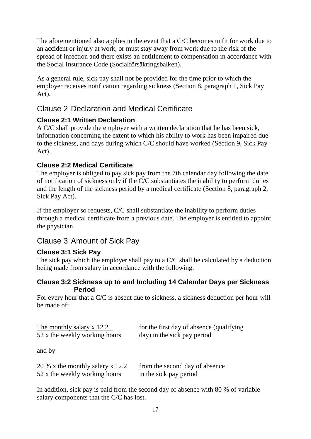The aforementioned also applies in the event that a C/C becomes unfit for work due to an accident or injury at work, or must stay away from work due to the risk of the spread of infection and there exists an entitlement to compensation in accordance with the Social Insurance Code (Socialförsäkringsbalken).

As a general rule, sick pay shall not be provided for the time prior to which the employer receives notification regarding sickness (Section 8, paragraph 1, Sick Pay Act).

## Clause 2 Declaration and Medical Certificate

#### **Clause 2:1 Written Declaration**

A C/C shall provide the employer with a written declaration that he has been sick, information concerning the extent to which his ability to work has been impaired due to the sickness, and days during which C/C should have worked (Section 9, Sick Pay Act).

#### **Clause 2:2 Medical Certificate**

The employer is obliged to pay sick pay from the 7th calendar day following the date of notification of sickness only if the C/C substantiates the inability to perform duties and the length of the sickness period by a medical certificate (Section 8, paragraph 2, Sick Pay Act).

If the employer so requests, C/C shall substantiate the inability to perform duties through a medical certificate from a previous date. The employer is entitled to appoint the physician.

## Clause 3 Amount of Sick Pay

### **Clause 3:1 Sick Pay**

The sick pay which the employer shall pay to a C/C shall be calculated by a deduction being made from salary in accordance with the following.

#### **Clause 3:2 Sickness up to and Including 14 Calendar Days per Sickness Period**

For every hour that a C/C is absent due to sickness, a sickness deduction per hour will be made of:

| The monthly salary x 12.2     | for the first day of absence (qualifying |
|-------------------------------|------------------------------------------|
| 52 x the weekly working hours | day) in the sick pay period              |

and by

| $20\%$ x the monthly salary x 12.2 | from the second day of absence |
|------------------------------------|--------------------------------|
| 52 x the weekly working hours      | in the sick pay period         |

In addition, sick pay is paid from the second day of absence with 80 % of variable salary components that the C/C has lost.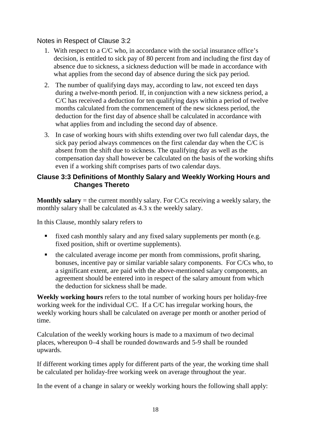Notes in Respect of Clause 3:2

- 1. With respect to a C/C who, in accordance with the social insurance office's decision, is entitled to sick pay of 80 percent from and including the first day of absence due to sickness, a sickness deduction will be made in accordance with what applies from the second day of absence during the sick pay period.
- 2. The number of qualifying days may, according to law, not exceed ten days during a twelve-month period. If, in conjunction with a new sickness period, a C/C has received a deduction for ten qualifying days within a period of twelve months calculated from the commencement of the new sickness period, the deduction for the first day of absence shall be calculated in accordance with what applies from and including the second day of absence.
- 3. In case of working hours with shifts extending over two full calendar days, the sick pay period always commences on the first calendar day when the C/C is absent from the shift due to sickness. The qualifying day as well as the compensation day shall however be calculated on the basis of the working shifts even if a working shift comprises parts of two calendar days.

#### **Clause 3:3 Definitions of Monthly Salary and Weekly Working Hours and Changes Thereto**

**Monthly salary** = the current monthly salary. For C/Cs receiving a weekly salary, the monthly salary shall be calculated as 4.3 x the weekly salary.

In this Clause, monthly salary refers to

- fixed cash monthly salary and any fixed salary supplements per month (e.g. fixed position, shift or overtime supplements).
- the calculated average income per month from commissions, profit sharing, bonuses, incentive pay or similar variable salary components. For C/Cs who, to a significant extent, are paid with the above-mentioned salary components, an agreement should be entered into in respect of the salary amount from which the deduction for sickness shall be made.

**Weekly working hours** refers to the total number of working hours per holiday-free working week for the individual C/C. If a C/C has irregular working hours, the weekly working hours shall be calculated on average per month or another period of time.

Calculation of the weekly working hours is made to a maximum of two decimal places, whereupon 0–4 shall be rounded downwards and 5-9 shall be rounded upwards.

If different working times apply for different parts of the year, the working time shall be calculated per holiday-free working week on average throughout the year.

In the event of a change in salary or weekly working hours the following shall apply: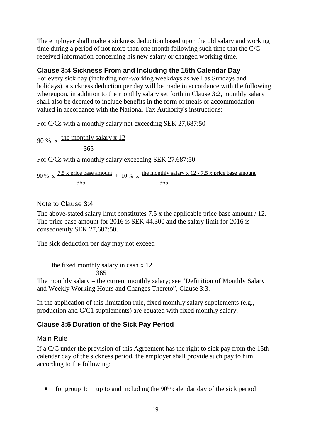The employer shall make a sickness deduction based upon the old salary and working time during a period of not more than one month following such time that the C/C received information concerning his new salary or changed working time.

#### **Clause 3:4 Sickness From and Including the 15th Calendar Day**

For every sick day (including non-working weekdays as well as Sundays and holidays), a sickness deduction per day will be made in accordance with the following whereupon, in addition to the monthly salary set forth in Clause 3:2, monthly salary shall also be deemed to include benefits in the form of meals or accommodation valued in accordance with the National Tax Authority's instructions:

For C/Cs with a monthly salary not exceeding SEK 27,687:50

90 % x  $\frac{\text{the monthly salary x } 12}{\text{the fourth}}$ 365

For C/Cs with a monthly salary exceeding SEK 27,687:50

90 % x  $\frac{7.5 \times 10^{-14}}{2.5 \times 10^{-14}}$  + 10 % x the monthly salary x 12 - 7.5 x price base amount 365 365

#### Note to Clause 3:4

The above-stated salary limit constitutes 7.5 x the applicable price base amount / 12. The price base amount for 2016 is SEK 44,300 and the salary limit for 2016 is consequently SEK 27,687:50.

The sick deduction per day may not exceed

the fixed monthly salary in cash x 12 365

The monthly salary = the current monthly salary; see "Definition of Monthly Salary and Weekly Working Hours and Changes Thereto", Clause 3:3.

In the application of this limitation rule, fixed monthly salary supplements (e.g., production and C/C1 supplements) are equated with fixed monthly salary.

#### **Clause 3:5 Duration of the Sick Pay Period**

#### Main Rule

If a C/C under the provision of this Agreement has the right to sick pay from the 15th calendar day of the sickness period, the employer shall provide such pay to him according to the following:

for group 1: up to and including the  $90<sup>th</sup>$  calendar day of the sick period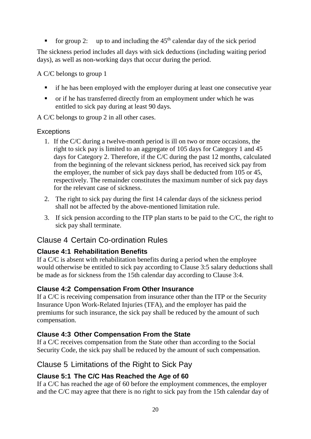for group 2: up to and including the  $45<sup>th</sup>$  calendar day of the sick period

The sickness period includes all days with sick deductions (including waiting period days), as well as non-working days that occur during the period.

A C/C belongs to group 1

- if he has been employed with the employer during at least one consecutive year
- or if he has transferred directly from an employment under which he was entitled to sick pay during at least 90 days.

A C/C belongs to group 2 in all other cases.

#### **Exceptions**

- 1. If the C/C during a twelve-month period is ill on two or more occasions, the right to sick pay is limited to an aggregate of 105 days for Category 1 and 45 days for Category 2. Therefore, if the C/C during the past 12 months, calculated from the beginning of the relevant sickness period, has received sick pay from the employer, the number of sick pay days shall be deducted from 105 or 45, respectively. The remainder constitutes the maximum number of sick pay days for the relevant case of sickness.
- 2. The right to sick pay during the first 14 calendar days of the sickness period shall not be affected by the above-mentioned limitation rule.
- 3. If sick pension according to the ITP plan starts to be paid to the C/C, the right to sick pay shall terminate.

## Clause 4 Certain Co-ordination Rules

### **Clause 4:1 Rehabilitation Benefits**

If a C/C is absent with rehabilitation benefits during a period when the employee would otherwise be entitled to sick pay according to Clause 3:5 salary deductions shall be made as for sickness from the 15th calendar day according to Clause 3:4.

#### **Clause 4:2 Compensation From Other Insurance**

If a C/C is receiving compensation from insurance other than the ITP or the Security Insurance Upon Work-Related Injuries (TFA), and the employer has paid the premiums for such insurance, the sick pay shall be reduced by the amount of such compensation.

#### **Clause 4:3 Other Compensation From the State**

If a C/C receives compensation from the State other than according to the Social Security Code, the sick pay shall be reduced by the amount of such compensation.

### Clause 5 Limitations of the Right to Sick Pay

### **Clause 5:1 The C/C Has Reached the Age of 60**

If a C/C has reached the age of 60 before the employment commences, the employer and the C/C may agree that there is no right to sick pay from the 15th calendar day of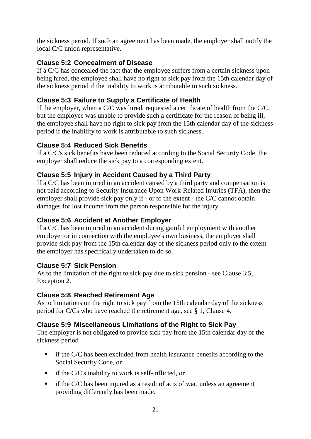the sickness period. If such an agreement has been made, the employer shall notify the local C/C union representative.

#### **Clause 5:2 Concealment of Disease**

If a C/C has concealed the fact that the employee suffers from a certain sickness upon being hired, the employee shall have no right to sick pay from the 15th calendar day of the sickness period if the inability to work is attributable to such sickness.

#### **Clause 5:3 Failure to Supply a Certificate of Health**

If the employer, when a C/C was hired, requested a certificate of health from the C/C, but the employee was unable to provide such a certificate for the reason of being ill, the employee shall have no right to sick pay from the 15th calendar day of the sickness period if the inability to work is attributable to such sickness.

#### **Clause 5:4 Reduced Sick Benefits**

If a C/C's sick benefits have been reduced according to the Social Security Code, the employer shall reduce the sick pay to a corresponding extent.

#### **Clause 5:5 Injury in Accident Caused by a Third Party**

If a C/C has been injured in an accident caused by a third party and compensation is not paid according to Security Insurance Upon Work-Related Injuries (TFA), then the employer shall provide sick pay only if - or to the extent - the C/C cannot obtain damages for lost income from the person responsible for the injury.

#### **Clause 5:6 Accident at Another Employer**

If a C/C has been injured in an accident during gainful employment with another employer or in connection with the employee's own business, the employer shall provide sick pay from the 15th calendar day of the sickness period only to the extent the employer has specifically undertaken to do so.

#### **Clause 5:7 Sick Pension**

As to the limitation of the right to sick pay due to sick pension - see Clause 3:5, Exception 2.

#### **Clause 5:8 Reached Retirement Age**

As to limitations on the right to sick pay from the 15th calendar day of the sickness period for C/Cs who have reached the retirement age, see § 1, Clause 4.

#### **Clause 5:9 Miscellaneous Limitations of the Right to Sick Pay**

The employer is not obligated to provide sick pay from the 15th calendar day of the sickness period

- if the C/C has been excluded from health insurance benefits according to the Social Security Code, or
- $\blacksquare$  if the C/C's inability to work is self-inflicted, or
- $\blacksquare$  if the C/C has been injured as a result of acts of war, unless an agreement providing differently has been made.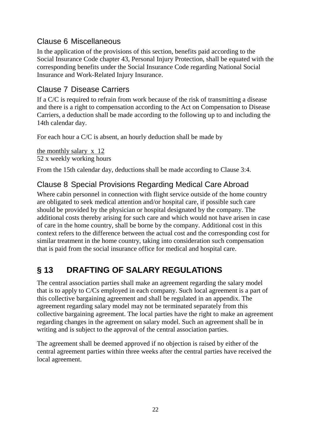## Clause 6 Miscellaneous

In the application of the provisions of this section, benefits paid according to the Social Insurance Code chapter 43, Personal Injury Protection, shall be equated with the corresponding benefits under the Social Insurance Code regarding National Social Insurance and Work-Related Injury Insurance.

## Clause 7 Disease Carriers

If a C/C is required to refrain from work because of the risk of transmitting a disease and there is a right to compensation according to the Act on Compensation to Disease Carriers, a deduction shall be made according to the following up to and including the 14th calendar day.

For each hour a C/C is absent, an hourly deduction shall be made by

the monthly salary x 12 52 x weekly working hours

From the 15th calendar day, deductions shall be made according to Clause 3:4.

## Clause 8 Special Provisions Regarding Medical Care Abroad

Where cabin personnel in connection with flight service outside of the home country are obligated to seek medical attention and/or hospital care, if possible such care should be provided by the physician or hospital designated by the company. The additional costs thereby arising for such care and which would not have arisen in case of care in the home country, shall be borne by the company. Additional cost in this context refers to the difference between the actual cost and the corresponding cost for similar treatment in the home country, taking into consideration such compensation that is paid from the social insurance office for medical and hospital care.

# <span id="page-23-0"></span>**§ 13 DRAFTING OF SALARY REGULATIONS**

The central association parties shall make an agreement regarding the salary model that is to apply to C/Cs employed in each company. Such local agreement is a part of this collective bargaining agreement and shall be regulated in an appendix. The agreement regarding salary model may not be terminated separately from this collective bargaining agreement. The local parties have the right to make an agreement regarding changes in the agreement on salary model. Such an agreement shall be in writing and is subject to the approval of the central association parties.

The agreement shall be deemed approved if no objection is raised by either of the central agreement parties within three weeks after the central parties have received the local agreement.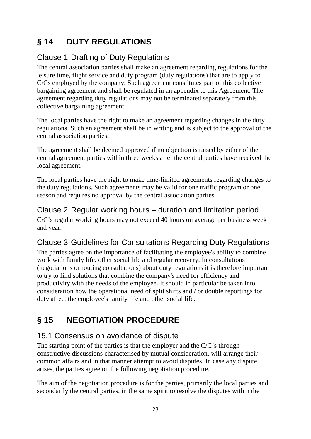# <span id="page-24-0"></span>**§ 14 DUTY REGULATIONS**

# Clause 1 Drafting of Duty Regulations

The central association parties shall make an agreement regarding regulations for the leisure time, flight service and duty program (duty regulations) that are to apply to C/Cs employed by the company. Such agreement constitutes part of this collective bargaining agreement and shall be regulated in an appendix to this Agreement. The agreement regarding duty regulations may not be terminated separately from this collective bargaining agreement.

The local parties have the right to make an agreement regarding changes in the duty regulations. Such an agreement shall be in writing and is subject to the approval of the central association parties.

The agreement shall be deemed approved if no objection is raised by either of the central agreement parties within three weeks after the central parties have received the local agreement.

The local parties have the right to make time-limited agreements regarding changes to the duty regulations. Such agreements may be valid for one traffic program or one season and requires no approval by the central association parties.

Clause 2 Regular working hours – duration and limitation period C/C's regular working hours may not exceed 40 hours on average per business week and year.

# Clause 3 Guidelines for Consultations Regarding Duty Regulations

The parties agree on the importance of facilitating the employee's ability to combine work with family life, other social life and regular recovery. In consultations (negotiations or routing consultations) about duty regulations it is therefore important to try to find solutions that combine the company's need for efficiency and productivity with the needs of the employee. It should in particular be taken into consideration how the operational need of split shifts and / or double reportings for duty affect the employee's family life and other social life.

# <span id="page-24-1"></span>**§ 15 NEGOTIATION PROCEDURE**

# 15.1 Consensus on avoidance of dispute

The starting point of the parties is that the employer and the C/C's through constructive discussions characterised by mutual consideration, will arrange their common affairs and in that manner attempt to avoid disputes. In case any dispute arises, the parties agree on the following negotiation procedure.

The aim of the negotiation procedure is for the parties, primarily the local parties and secondarily the central parties, in the same spirit to resolve the disputes within the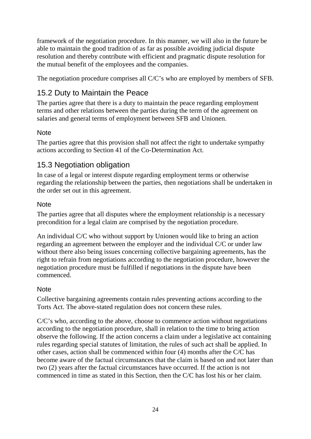framework of the negotiation procedure. In this manner, we will also in the future be able to maintain the good tradition of as far as possible avoiding judicial dispute resolution and thereby contribute with efficient and pragmatic dispute resolution for the mutual benefit of the employees and the companies.

The negotiation procedure comprises all C/C's who are employed by members of SFB.

# 15.2 Duty to Maintain the Peace

The parties agree that there is a duty to maintain the peace regarding employment terms and other relations between the parties during the term of the agreement on salaries and general terms of employment between SFB and Unionen.

#### **Note**

The parties agree that this provision shall not affect the right to undertake sympathy actions according to Section 41 of the Co-Determination Act.

## 15.3 Negotiation obligation

In case of a legal or interest dispute regarding employment terms or otherwise regarding the relationship between the parties, then negotiations shall be undertaken in the order set out in this agreement.

#### **Note**

The parties agree that all disputes where the employment relationship is a necessary precondition for a legal claim are comprised by the negotiation procedure.

An individual C/C who without support by Unionen would like to bring an action regarding an agreement between the employer and the individual C/C or under law without there also being issues concerning collective bargaining agreements, has the right to refrain from negotiations according to the negotiation procedure, however the negotiation procedure must be fulfilled if negotiations in the dispute have been commenced.

#### **Note**

Collective bargaining agreements contain rules preventing actions according to the Torts Act. The above-stated regulation does not concern these rules.

C/C's who, according to the above, choose to commence action without negotiations according to the negotiation procedure, shall in relation to the time to bring action observe the following. If the action concerns a claim under a legislative act containing rules regarding special statutes of limitation, the rules of such act shall be applied. In other cases, action shall be commenced within four (4) months after the C/C has become aware of the factual circumstances that the claim is based on and not later than two (2) years after the factual circumstances have occurred. If the action is not commenced in time as stated in this Section, then the C/C has lost his or her claim.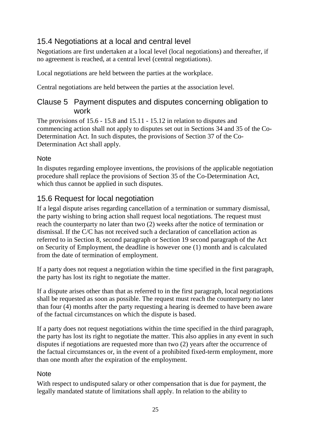# 15.4 Negotiations at a local and central level

Negotiations are first undertaken at a local level (local negotiations) and thereafter, if no agreement is reached, at a central level (central negotiations).

Local negotiations are held between the parties at the workplace.

Central negotiations are held between the parties at the association level.

### Clause 5 Payment disputes and disputes concerning obligation to work

The provisions of 15.6 - 15.8 and 15.11 - 15.12 in relation to disputes and commencing action shall not apply to disputes set out in Sections 34 and 35 of the Co-Determination Act. In such disputes, the provisions of Section 37 of the Co-Determination Act shall apply.

#### **Note**

In disputes regarding employee inventions, the provisions of the applicable negotiation procedure shall replace the provisions of Section 35 of the Co-Determination Act, which thus cannot be applied in such disputes.

## 15.6 Request for local negotiation

If a legal dispute arises regarding cancellation of a termination or summary dismissal, the party wishing to bring action shall request local negotiations. The request must reach the counterparty no later than two (2) weeks after the notice of termination or dismissal. If the C/C has not received such a declaration of cancellation action as referred to in Section 8, second paragraph or Section 19 second paragraph of the Act on Security of Employment, the deadline is however one (1) month and is calculated from the date of termination of employment.

If a party does not request a negotiation within the time specified in the first paragraph, the party has lost its right to negotiate the matter.

If a dispute arises other than that as referred to in the first paragraph, local negotiations shall be requested as soon as possible. The request must reach the counterparty no later than four (4) months after the party requesting a hearing is deemed to have been aware of the factual circumstances on which the dispute is based.

If a party does not request negotiations within the time specified in the third paragraph, the party has lost its right to negotiate the matter. This also applies in any event in such disputes if negotiations are requested more than two (2) years after the occurrence of the factual circumstances or, in the event of a prohibited fixed-term employment, more than one month after the expiration of the employment.

#### **Note**

With respect to undisputed salary or other compensation that is due for payment, the legally mandated statute of limitations shall apply. In relation to the ability to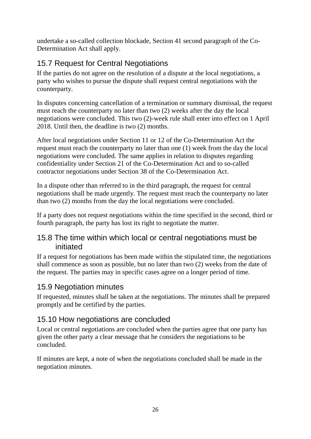undertake a so-called collection blockade, Section 41 second paragraph of the Co-Determination Act shall apply.

## 15.7 Request for Central Negotiations

If the parties do not agree on the resolution of a dispute at the local negotiations, a party who wishes to pursue the dispute shall request central negotiations with the counterparty.

In disputes concerning cancellation of a termination or summary dismissal, the request must reach the counterparty no later than two (2) weeks after the day the local negotiations were concluded. This two (2)-week rule shall enter into effect on 1 April 2018. Until then, the deadline is two (2) months.

After local negotiations under Section 11 or 12 of the Co-Determination Act the request must reach the counterparty no later than one (1) week from the day the local negotiations were concluded. The same applies in relation to disputes regarding confidentiality under Section 21 of the Co-Determination Act and to so-called contractor negotiations under Section 38 of the Co-Determination Act.

In a dispute other than referred to in the third paragraph, the request for central negotiations shall be made urgently. The request must reach the counterparty no later than two (2) months from the day the local negotiations were concluded.

If a party does not request negotiations within the time specified in the second, third or fourth paragraph, the party has lost its right to negotiate the matter.

#### 15.8 The time within which local or central negotiations must be initiated

If a request for negotiations has been made within the stipulated time, the negotiations shall commence as soon as possible, but no later than two (2) weeks from the date of the request. The parties may in specific cases agree on a longer period of time.

## 15.9 Negotiation minutes

If requested, minutes shall be taken at the negotiations. The minutes shall be prepared promptly and be certified by the parties.

### 15.10 How negotiations are concluded

Local or central negotiations are concluded when the parties agree that one party has given the other party a clear message that he considers the negotiations to be concluded.

If minutes are kept, a note of when the negotiations concluded shall be made in the negotiation minutes.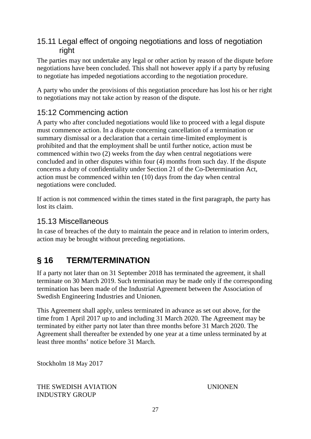## 15.11 Legal effect of ongoing negotiations and loss of negotiation right

The parties may not undertake any legal or other action by reason of the dispute before negotiations have been concluded. This shall not however apply if a party by refusing to negotiate has impeded negotiations according to the negotiation procedure.

A party who under the provisions of this negotiation procedure has lost his or her right to negotiations may not take action by reason of the dispute.

# 15:12 Commencing action

A party who after concluded negotiations would like to proceed with a legal dispute must commence action. In a dispute concerning cancellation of a termination or summary dismissal or a declaration that a certain time-limited employment is prohibited and that the employment shall be until further notice, action must be commenced within two (2) weeks from the day when central negotiations were concluded and in other disputes within four (4) months from such day. If the dispute concerns a duty of confidentiality under Section 21 of the Co-Determination Act, action must be commenced within ten (10) days from the day when central negotiations were concluded.

If action is not commenced within the times stated in the first paragraph, the party has lost its claim.

## 15.13 Miscellaneous

In case of breaches of the duty to maintain the peace and in relation to interim orders, action may be brought without preceding negotiations.

# <span id="page-28-0"></span>**§ 16 TERM/TERMINATION**

If a party not later than on 31 September 2018 has terminated the agreement, it shall terminate on 30 March 2019. Such termination may be made only if the corresponding termination has been made of the Industrial Agreement between the Association of Swedish Engineering Industries and Unionen.

This Agreement shall apply, unless terminated in advance as set out above, for the time from 1 April 2017 up to and including 31 March 2020. The Agreement may be terminated by either party not later than three months before 31 March 2020. The Agreement shall thereafter be extended by one year at a time unless terminated by at least three months' notice before 31 March.

Stockholm 18 May 2017

THE SWEDISH AVIATION UNIONEN INDUSTRY GROUP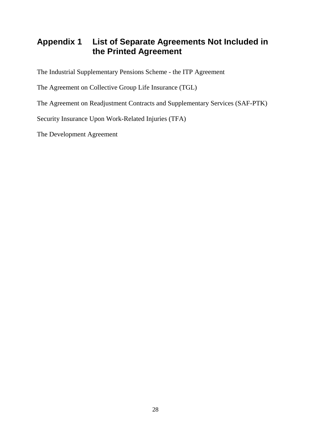# <span id="page-29-0"></span>**Appendix 1 List of Separate Agreements Not Included in the Printed Agreement**

The Industrial Supplementary Pensions Scheme - the ITP Agreement

The Agreement on Collective Group Life Insurance (TGL)

The Agreement on Readjustment Contracts and Supplementary Services (SAF-PTK)

Security Insurance Upon Work-Related Injuries (TFA)

The Development Agreement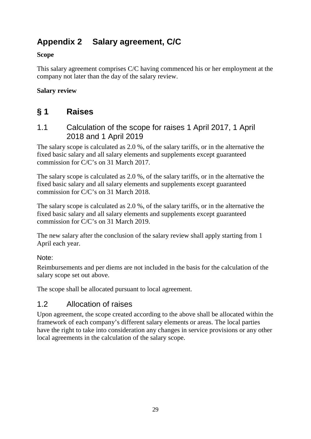# <span id="page-30-0"></span>**Appendix 2 Salary agreement, C/C**

#### **Scope**

This salary agreement comprises C/C having commenced his or her employment at the company not later than the day of the salary review.

#### **Salary review**

# **§ 1 Raises**

1.1 Calculation of the scope for raises 1 April 2017, 1 April 2018 and 1 April 2019

The salary scope is calculated as 2.0 %, of the salary tariffs, or in the alternative the fixed basic salary and all salary elements and supplements except guaranteed commission for C/C's on 31 March 2017.

The salary scope is calculated as 2.0 %, of the salary tariffs, or in the alternative the fixed basic salary and all salary elements and supplements except guaranteed commission for C/C's on 31 March 2018.

The salary scope is calculated as 2.0 %, of the salary tariffs, or in the alternative the fixed basic salary and all salary elements and supplements except guaranteed commission for C/C's on 31 March 2019.

The new salary after the conclusion of the salary review shall apply starting from 1 April each year.

#### Note:

Reimbursements and per diems are not included in the basis for the calculation of the salary scope set out above.

The scope shall be allocated pursuant to local agreement.

# 1.2 Allocation of raises

Upon agreement, the scope created according to the above shall be allocated within the framework of each company's different salary elements or areas. The local parties have the right to take into consideration any changes in service provisions or any other local agreements in the calculation of the salary scope.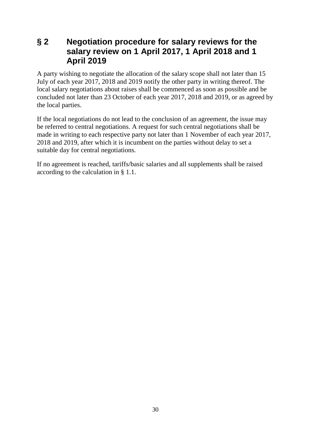## **§ 2 Negotiation procedure for salary reviews for the salary review on 1 April 2017, 1 April 2018 and 1 April 2019**

A party wishing to negotiate the allocation of the salary scope shall not later than 15 July of each year 2017, 2018 and 2019 notify the other party in writing thereof. The local salary negotiations about raises shall be commenced as soon as possible and be concluded not later than 23 October of each year 2017, 2018 and 2019, or as agreed by the local parties.

If the local negotiations do not lead to the conclusion of an agreement, the issue may be referred to central negotiations. A request for such central negotiations shall be made in writing to each respective party not later than 1 November of each year 2017, 2018 and 2019, after which it is incumbent on the parties without delay to set a suitable day for central negotiations.

If no agreement is reached, tariffs/basic salaries and all supplements shall be raised according to the calculation in § 1.1.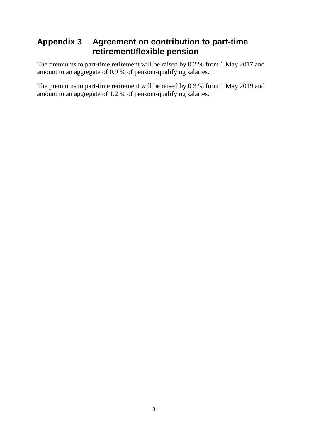# <span id="page-32-0"></span>**Appendix 3 Agreement on contribution to part-time retirement/flexible pension**

The premiums to part-time retirement will be raised by 0.2 % from 1 May 2017 and amount to an aggregate of 0.9 % of pension-qualifying salaries.

The premiums to part-time retirement will be raised by 0.3 % from 1 May 2019 and amount to an aggregate of 1.2 % of pension-qualifying salaries.